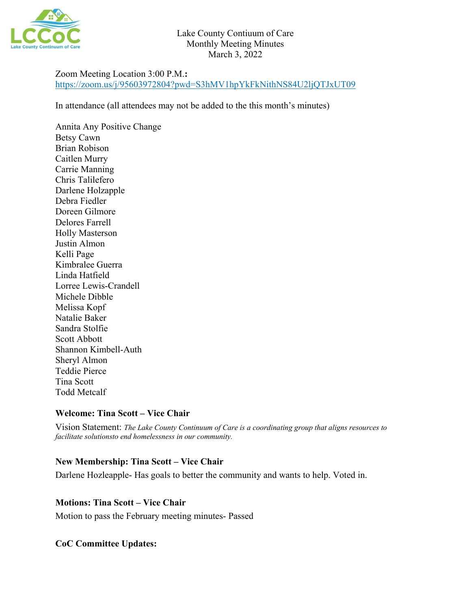

# Zoom Meeting Location 3:00 P.M.**:**  <https://zoom.us/j/95603972804?pwd=S3hMV1hpYkFkNithNS84U2ljQTJxUT09>

In attendance (all attendees may not be added to the this month's minutes)

Annita Any Positive Change Betsy Cawn Brian Robison Caitlen Murry Carrie Manning Chris Talilefero Darlene Holzapple Debra Fiedler Doreen Gilmore Delores Farrell Holly Masterson Justin Almon Kelli Page Kimbralee Guerra Linda Hatfield Lorree Lewis-Crandell Michele Dibble Melissa Kopf Natalie Baker Sandra Stolfie Scott Abbott Shannon Kimbell-Auth Sheryl Almon Teddie Pierce Tina Scott Todd Metcalf

### **Welcome: Tina Scott – Vice Chair**

Vision Statement: *The Lake County Continuum of Care is a coordinating group that aligns resources to facilitate solutionsto end homelessness in our community.*

### **New Membership: Tina Scott – Vice Chair**

Darlene Hozleapple- Has goals to better the community and wants to help. Voted in.

### **Motions: Tina Scott – Vice Chair**

Motion to pass the February meeting minutes- Passed

# **CoC Committee Updates:**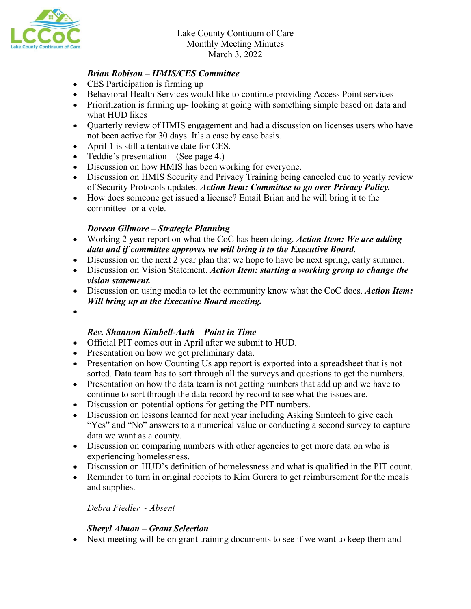

### *Brian Robison – HMIS/CES Committee*

- CES Participation is firming up
- Behavioral Health Services would like to continue providing Access Point services
- Prioritization is firming up-looking at going with something simple based on data and what HUD likes
- Quarterly review of HMIS engagement and had a discussion on licenses users who have not been active for 30 days. It's a case by case basis.
- April 1 is still a tentative date for CES.
- Teddie's presentation  $-$  (See page 4.)
- Discussion on how HMIS has been working for everyone.
- Discussion on HMIS Security and Privacy Training being canceled due to yearly review of Security Protocols updates. *Action Item: Committee to go over Privacy Policy.*
- How does someone get issued a license? Email Brian and he will bring it to the committee for a vote.

### *Doreen Gilmore – Strategic Planning*

- Working 2 year report on what the CoC has been doing. *Action Item: We are adding data and if committee approves we will bring it to the Executive Board.*
- Discussion on the next 2 year plan that we hope to have be next spring, early summer.
- Discussion on Vision Statement. *Action Item: starting a working group to change the vision statement.*
- Discussion on using media to let the community know what the CoC does. *Action Item: Will bring up at the Executive Board meeting.*
- •

### *Rev. Shannon Kimbell-Auth – Point in Time*

- Official PIT comes out in April after we submit to HUD.
- Presentation on how we get preliminary data.
- Presentation on how Counting Us app report is exported into a spreadsheet that is not sorted. Data team has to sort through all the surveys and questions to get the numbers.
- Presentation on how the data team is not getting numbers that add up and we have to continue to sort through the data record by record to see what the issues are.
- Discussion on potential options for getting the PIT numbers.
- Discussion on lessons learned for next year including Asking Simtech to give each "Yes" and "No" answers to a numerical value or conducting a second survey to capture data we want as a county.
- Discussion on comparing numbers with other agencies to get more data on who is experiencing homelessness.
- Discussion on HUD's definition of homelessness and what is qualified in the PIT count.
- Reminder to turn in original receipts to Kim Gurera to get reimbursement for the meals and supplies.

*Debra Fiedler ~ Absent*

### *Sheryl Almon – Grant Selection*

• Next meeting will be on grant training documents to see if we want to keep them and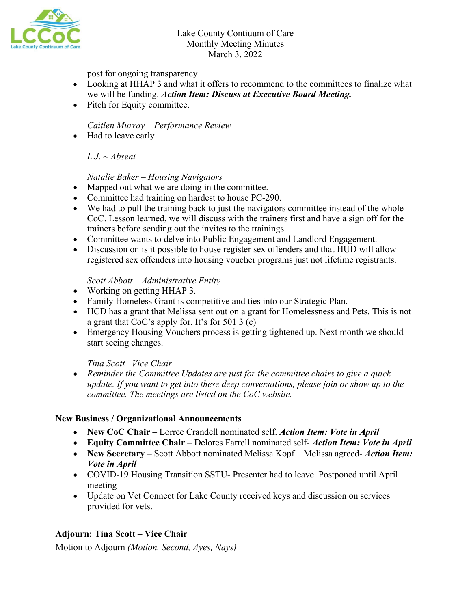

post for ongoing transparency.

- Looking at HHAP 3 and what it offers to recommend to the committees to finalize what we will be funding. *Action Item: Discuss at Executive Board Meeting.*
- Pitch for Equity committee.

*Caitlen Murray – Performance Review*

• Had to leave early

 $L.J. ~ \sim Absent$ 

*Natalie Baker – Housing Navigators*

- Mapped out what we are doing in the committee.
- Committee had training on hardest to house PC-290.
- We had to pull the training back to just the navigators committee instead of the whole CoC. Lesson learned, we will discuss with the trainers first and have a sign off for the trainers before sending out the invites to the trainings.
- Committee wants to delve into Public Engagement and Landlord Engagement.
- Discussion on is it possible to house register sex offenders and that HUD will allow registered sex offenders into housing voucher programs just not lifetime registrants.

### *Scott Abbott – Administrative Entity*

- Working on getting HHAP 3.
- Family Homeless Grant is competitive and ties into our Strategic Plan.
- HCD has a grant that Melissa sent out on a grant for Homelessness and Pets. This is not a grant that CoC's apply for. It's for 501 3 (c)
- Emergency Housing Vouchers process is getting tightened up. Next month we should start seeing changes.

### *Tina Scott –Vice Chair*

• *Reminder the Committee Updates are just for the committee chairs to give a quick update. If you want to get into these deep conversations, please join or show up to the committee. The meetings are listed on the CoC website.*

### **New Business / Organizational Announcements**

- **New CoC Chair –** Lorree Crandell nominated self. *Action Item: Vote in April*
- **Equity Committee Chair –** Delores Farrell nominated self- *Action Item: Vote in April*
- **New Secretary** Scott Abbott nominated Melissa Kopf Melissa agreed- Action Item: *Vote in April*
- COVID-19 Housing Transition SSTU- Presenter had to leave. Postponed until April meeting
- Update on Vet Connect for Lake County received keys and discussion on services provided for vets.

# **Adjourn: Tina Scott – Vice Chair**

Motion to Adjourn *(Motion, Second, Ayes, Nays)*